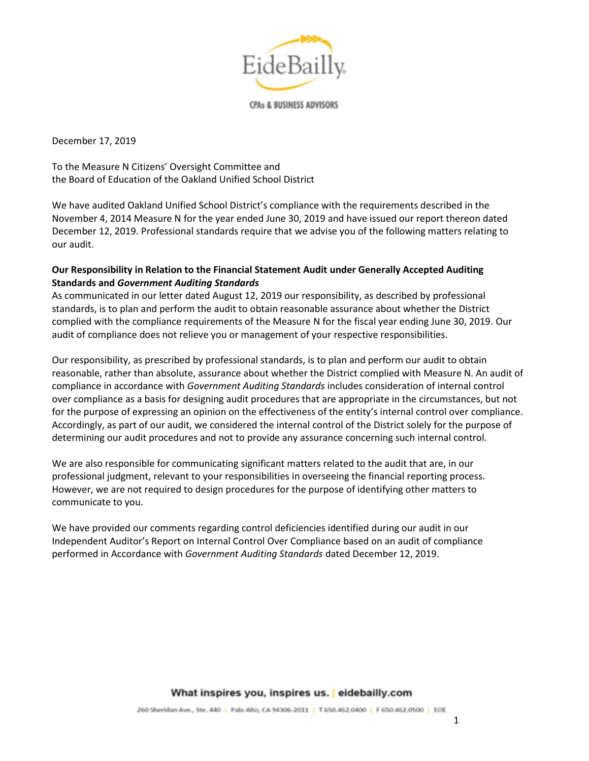

December 17, 2019

To the Measure N Citizens' Oversight Committee and the Board of Education of the Oakland Unified School District

We have audited Oakland Unified School District's compliance with the requirements described in the November 4, 2014 Measure N for the year ended June 30, 2019 and have issued our report thereon dated December 12, 2019. Professional standards require that we advise you of the following matters relating to our audit.

# **Our Responsibility in Relation to the Financial Statement Audit under Generally Accepted Auditing Standards and** *Government Auditing Standards*

As communicated in our letter dated August 12, 2019 our responsibility, as described by professional standards, is to plan and perform the audit to obtain reasonable assurance about whether the District complied with the compliance requirements of the Measure N for the fiscal year ending June 30, 2019. Our audit of compliance does not relieve you or management of your respective responsibilities.

Our responsibility, as prescribed by professional standards, is to plan and perform our audit to obtain reasonable, rather than absolute, assurance about whether the District complied with Measure N. An audit of compliance in accordance with *Government Auditing Standards* includes consideration of internal control over compliance as a basis for designing audit procedures that are appropriate in the circumstances, but not for the purpose of expressing an opinion on the effectiveness of the entity's internal control over compliance. Accordingly, as part of our audit, we considered the internal control of the District solely for the purpose of determining our audit procedures and not to provide any assurance concerning such internal control.

We are also responsible for communicating significant matters related to the audit that are, in our professional judgment, relevant to your responsibilities in overseeing the financial reporting process. However, we are not required to design procedures for the purpose of identifying other matters to communicate to you.

We have provided our comments regarding control deficiencies identified during our audit in our Independent Auditor's Report on Internal Control Over Compliance based on an audit of compliance performed in Accordance with *Government Auditing Standards* dated December 12, 2019.

## What inspires you, inspires us. | eidebailly.com

260 Sheridan Ave., Ste. 440 | Palo Alto, CA 94306-2011 | T 650.462.0400 | F 650.462.0500 | EOE